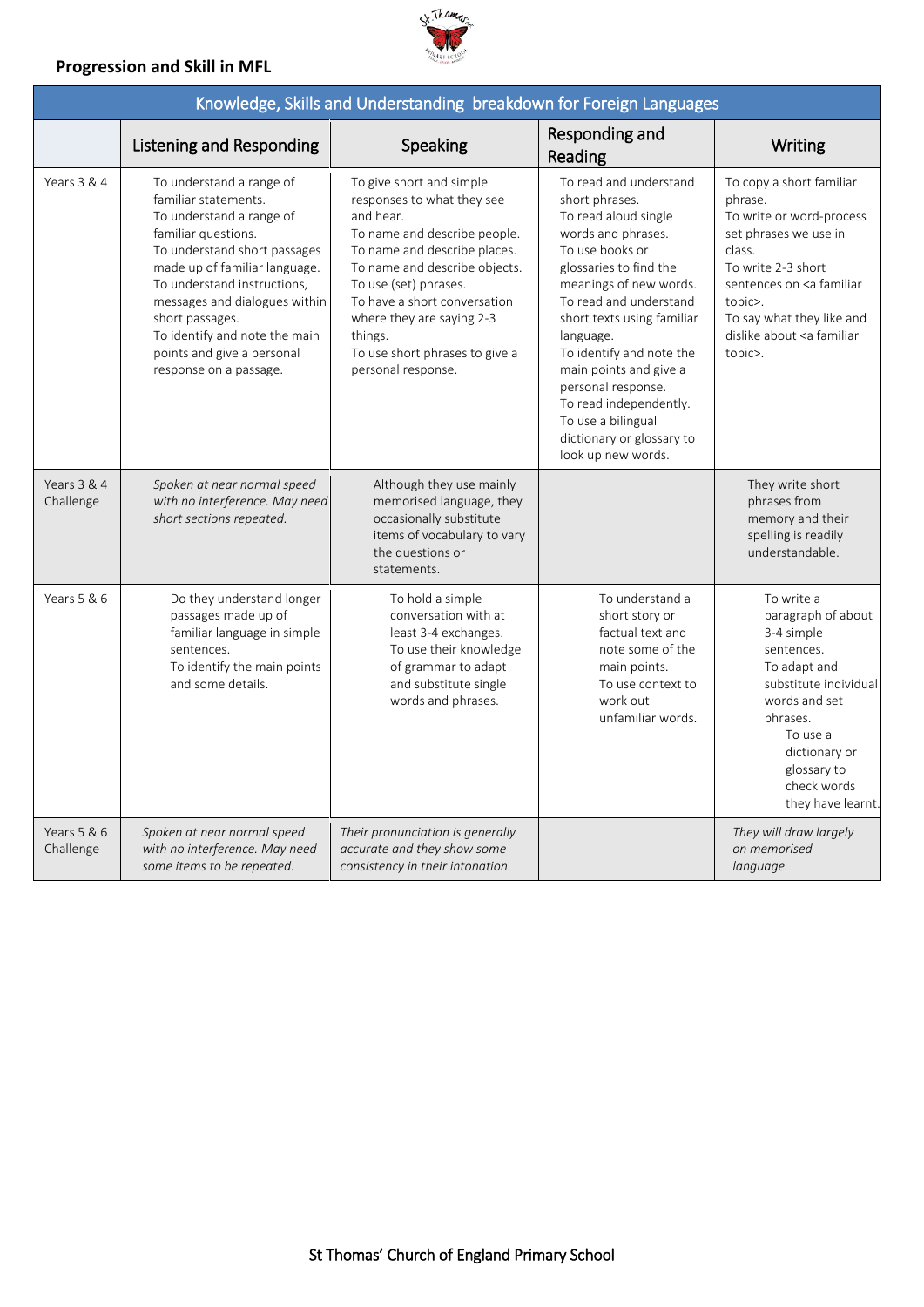## **Progression and Skill in MFL**

П



| Knowledge, Skills and Understanding breakdown for Foreign Languages |                                                                                                                                                                                                                                                                                                                                                  |                                                                                                                                                                                                                                                                                                                               |                                                                                                                                                                                                                                                                                                                                                                                                                   |                                                                                                                                                                                                                                                            |
|---------------------------------------------------------------------|--------------------------------------------------------------------------------------------------------------------------------------------------------------------------------------------------------------------------------------------------------------------------------------------------------------------------------------------------|-------------------------------------------------------------------------------------------------------------------------------------------------------------------------------------------------------------------------------------------------------------------------------------------------------------------------------|-------------------------------------------------------------------------------------------------------------------------------------------------------------------------------------------------------------------------------------------------------------------------------------------------------------------------------------------------------------------------------------------------------------------|------------------------------------------------------------------------------------------------------------------------------------------------------------------------------------------------------------------------------------------------------------|
|                                                                     | Listening and Responding                                                                                                                                                                                                                                                                                                                         | Speaking                                                                                                                                                                                                                                                                                                                      | Responding and<br>Reading                                                                                                                                                                                                                                                                                                                                                                                         | Writing                                                                                                                                                                                                                                                    |
| Years 3 & 4                                                         | To understand a range of<br>familiar statements.<br>To understand a range of<br>familiar questions.<br>To understand short passages<br>made up of familiar language.<br>To understand instructions,<br>messages and dialogues within<br>short passages.<br>To identify and note the main<br>points and give a personal<br>response on a passage. | To give short and simple<br>responses to what they see<br>and hear.<br>To name and describe people.<br>To name and describe places.<br>To name and describe objects.<br>To use (set) phrases.<br>To have a short conversation<br>where they are saying 2-3<br>things.<br>To use short phrases to give a<br>personal response. | To read and understand<br>short phrases.<br>To read aloud single<br>words and phrases.<br>To use books or<br>glossaries to find the<br>meanings of new words.<br>To read and understand<br>short texts using familiar<br>language.<br>To identify and note the<br>main points and give a<br>personal response.<br>To read independently.<br>To use a bilingual<br>dictionary or glossary to<br>look up new words. | To copy a short familiar<br>phrase.<br>To write or word-process<br>set phrases we use in<br>class.<br>To write 2-3 short<br>sentences on <a familiar<br="">topic&gt;.<br/>To say what they like and<br/>dislike about <a familiar<br="">topic&gt;.</a></a> |
| Years 3 & 4<br>Challenge                                            | Spoken at near normal speed<br>with no interference. May need<br>short sections repeated.                                                                                                                                                                                                                                                        | Although they use mainly<br>memorised language, they<br>occasionally substitute<br>items of vocabulary to vary<br>the questions or<br>statements.                                                                                                                                                                             |                                                                                                                                                                                                                                                                                                                                                                                                                   | They write short<br>phrases from<br>memory and their<br>spelling is readily<br>understandable.                                                                                                                                                             |
| Years 5 & 6                                                         | Do they understand longer<br>passages made up of<br>familiar language in simple<br>sentences.<br>To identify the main points<br>and some details.                                                                                                                                                                                                | To hold a simple<br>conversation with at<br>least 3-4 exchanges.<br>To use their knowledge<br>of grammar to adapt<br>and substitute single<br>words and phrases.                                                                                                                                                              | To understand a<br>short story or<br>factual text and<br>note some of the<br>main points.<br>To use context to<br>work out<br>unfamiliar words.                                                                                                                                                                                                                                                                   | To write a<br>paragraph of about<br>3-4 simple<br>sentences.<br>To adapt and<br>substitute individual<br>words and set<br>phrases.<br>To use a<br>dictionary or<br>glossary to<br>check words<br>they have learnt.                                         |
| Years 5 & 6<br>Challenge                                            | Spoken at near normal speed<br>with no interference. May need<br>some items to be repeated.                                                                                                                                                                                                                                                      | Their pronunciation is generally<br>accurate and they show some<br>consistency in their intonation.                                                                                                                                                                                                                           |                                                                                                                                                                                                                                                                                                                                                                                                                   | They will draw largely<br>on memorised<br>language.                                                                                                                                                                                                        |